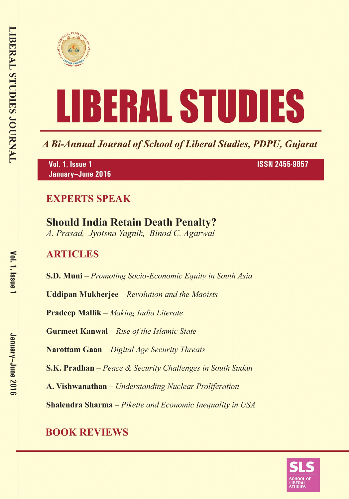



A Bi-Annual Journal of School of Liberal Studies, PDPU, Gujarat

Vol. 1, Issue 1 January-June 2016 **ISSN 2455-9857** 

### **EXPERTS SPEAK**

# **Should India Retain Death Penalty?**

A. Prasad, Jyotsna Yagnik, Binod C. Agarwal

### **ARTICLES**

**S.D. Muni** – Promoting Socio-Economic Equity in South Asia

**Uddipan Mukherjee** – Revolution and the Maoists

**Pradeep Mallik** – Making India Literate

**Gurmeet Kanwal** - Rise of the Islamic State

Narottam Gaan - Digital Age Security Threats

**S.K. Pradhan** – Peace & Security Challenges in South Sudan

A. Vishwanathan - Understanding Nuclear Proliferation

**Shalendra Sharma** - Pikette and Economic Inequality in USA

## **BOOK REVIEWS**

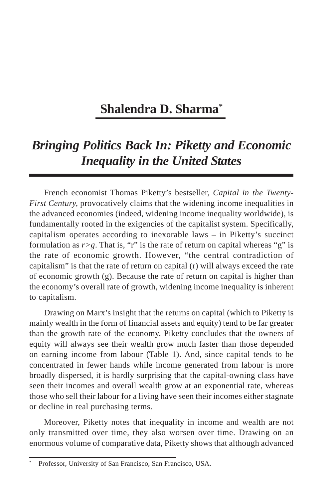### **Shalendra D. Sharma\***

### *Bringing Politics Back In: Piketty and Economic Inequality in the United States*

French economist Thomas Piketty's bestseller, *Capital in the Twenty-First Century, provocatively claims that the widening income inequalities in* the advanced economies (indeed, widening income inequality worldwide), is fundamentally rooted in the exigencies of the capitalist system. Specifically, capitalism operates according to inexorable laws – in Piketty's succinct formulation as  $r > g$ . That is, "r" is the rate of return on capital whereas "g" is the rate of economic growth. However, "the central contradiction of capitalism" is that the rate of return on capital (r) will always exceed the rate of economic growth  $(g)$ . Because the rate of return on capital is higher than the economy's overall rate of growth, widening income inequality is inherent to capitalism.

Drawing on Marx's insight that the returns on capital (which to Piketty is mainly wealth in the form of financial assets and equity) tend to be far greater than the growth rate of the economy, Piketty concludes that the owners of equity will always see their wealth grow much faster than those depended on earning income from labour (Table 1). And, since capital tends to be concentrated in fewer hands while income generated from labour is more broadly dispersed, it is hardly surprising that the capital-owning class have seen their incomes and overall wealth grow at an exponential rate, whereas those who sell their labour for a living have seen their incomes either stagnate or decline in real purchasing terms.

Moreover, Piketty notes that inequality in income and wealth are not only transmitted over time, they also worsen over time. Drawing on an enormous volume of comparative data, Piketty shows that although advanced

Professor, University of San Francisco, San Francisco, USA.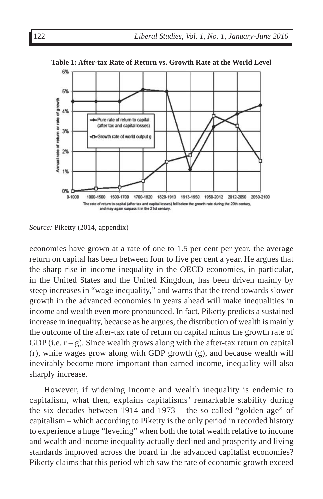

**Table 1: After-tax Rate of Return vs. Growth Rate at the World Level**

*Source:* Piketty (2014, appendix)

economies have grown at a rate of one to 1.5 per cent per year, the average return on capital has been between four to five per cent a year. He argues that the sharp rise in income inequality in the OECD economies, in particular, in the United States and the United Kingdom, has been driven mainly by steep increases in "wage inequality," and warns that the trend towards slower growth in the advanced economies in years ahead will make inequalities in income and wealth even more pronounced. In fact, Piketty predicts a sustained increase in inequality, because as he argues, the distribution of wealth is mainly the outcome of the after-tax rate of return on capital minus the growth rate of GDP (i.e.  $r - g$ ). Since wealth grows along with the after-tax return on capital (r), while wages grow along with GDP growth (g), and because wealth will inevitably become more important than earned income, inequality will also sharply increase.

However, if widening income and wealth inequality is endemic to capitalism, what then, explains capitalisms' remarkable stability during the six decades between 1914 and 1973 – the so-called "golden age" of capitalism – which according to Piketty is the only period in recorded history to experience a huge "leveling" when both the total wealth relative to income and wealth and income inequality actually declined and prosperity and living standards improved across the board in the advanced capitalist economies? Piketty claims that this period which saw the rate of economic growth exceed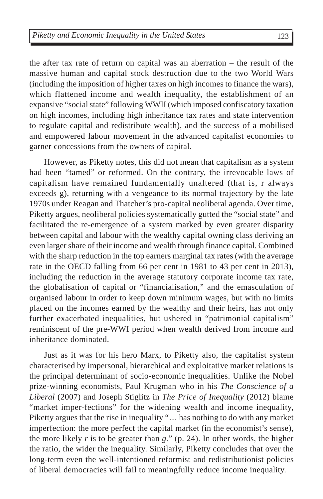the after tax rate of return on capital was an aberration – the result of the massive human and capital stock destruction due to the two World Wars (including the imposition of higher taxes on high incomes to finance the wars), which flattened income and wealth inequality, the establishment of an expansive "social state" following WWII (which imposed confiscatory taxation on high incomes, including high inheritance tax rates and state intervention to regulate capital and redistribute wealth), and the success of a mobilised and empowered labour movement in the advanced capitalist economies to garner concessions from the owners of capital.

However, as Piketty notes, this did not mean that capitalism as a system had been "tamed" or reformed. On the contrary, the irrevocable laws of capitalism have remained fundamentally unaltered (that is, r always exceeds g), returning with a vengeance to its normal trajectory by the late 1970s under Reagan and Thatcher's pro-capital neoliberal agenda. Over time, Piketty argues, neoliberal policies systematically gutted the "social state" and facilitated the re-emergence of a system marked by even greater disparity between capital and labour with the wealthy capital owning class deriving an even larger share of their income and wealth through finance capital. Combined with the sharp reduction in the top earners marginal tax rates (with the average rate in the OECD falling from 66 per cent in 1981 to 43 per cent in 2013), including the reduction in the average statutory corporate income tax rate, the globalisation of capital or "financialisation," and the emasculation of organised labour in order to keep down minimum wages, but with no limits placed on the incomes earned by the wealthy and their heirs, has not only further exacerbated inequalities, but ushered in "patrimonial capitalism" reminiscent of the pre-WWI period when wealth derived from income and inheritance dominated.

Just as it was for his hero Marx, to Piketty also, the capitalist system characterised by impersonal, hierarchical and exploitative market relations is the principal determinant of socio-economic inequalities. Unlike the Nobel prize-winning economists, Paul Krugman who in his *The Conscience of a Liberal* (2007) and Joseph Stiglitz in *The Price of Inequality* (2012) blame "market imper-fections" for the widening wealth and income inequality, Piketty argues that the rise in inequality "… has nothing to do with any market imperfection: the more perfect the capital market (in the economist's sense), the more likely  $r$  is to be greater than  $g$ ." (p. 24). In other words, the higher the ratio, the wider the inequality. Similarly, Piketty concludes that over the long-term even the well-intentioned reformist and redistributionist policies of liberal democracies will fail to meaningfully reduce income inequality.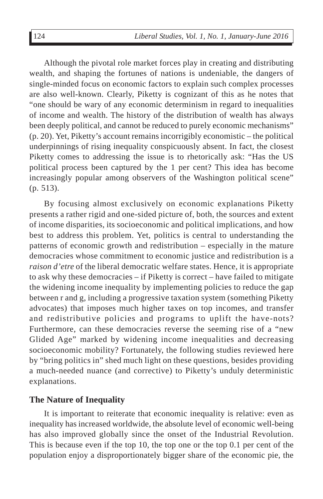Although the pivotal role market forces play in creating and distributing wealth, and shaping the fortunes of nations is undeniable, the dangers of single-minded focus on economic factors to explain such complex processes are also well-known. Clearly, Piketty is cognizant of this as he notes that "one should be wary of any economic determinism in regard to inequalities of income and wealth. The history of the distribution of wealth has always been deeply political, and cannot be reduced to purely economic mechanisms" (p. 20). Yet, Piketty's account remains incorrigibly economistic – the political underpinnings of rising inequality conspicuously absent. In fact, the closest Piketty comes to addressing the issue is to rhetorically ask: "Has the US political process been captured by the 1 per cent? This idea has become increasingly popular among observers of the Washington political scene" (p. 513).

By focusing almost exclusively on economic explanations Piketty presents a rather rigid and one-sided picture of, both, the sources and extent of income disparities, its socioeconomic and political implications, and how best to address this problem. Yet, politics is central to understanding the patterns of economic growth and redistribution – especially in the mature democracies whose commitment to economic justice and redistribution is a *raison d'etre* of the liberal democratic welfare states. Hence, it is appropriate to ask why these democracies – if Piketty is correct – have failed to mitigate the widening income inequality by implementing policies to reduce the gap between r and g, including a progressive taxation system (something Piketty advocates) that imposes much higher taxes on top incomes, and transfer and redistributive policies and programs to uplift the have-nots? Furthermore, can these democracies reverse the seeming rise of a "new Glided Age" marked by widening income inequalities and decreasing socioeconomic mobility? Fortunately, the following studies reviewed here by "bring politics in" shed much light on these questions, besides providing a much-needed nuance (and corrective) to Piketty's unduly deterministic explanations.

#### **The Nature of Inequality**

It is important to reiterate that economic inequality is relative: even as inequality has increased worldwide, the absolute level of economic well-being has also improved globally since the onset of the Industrial Revolution. This is because even if the top 10, the top one or the top 0.1 per cent of the population enjoy a disproportionately bigger share of the economic pie, the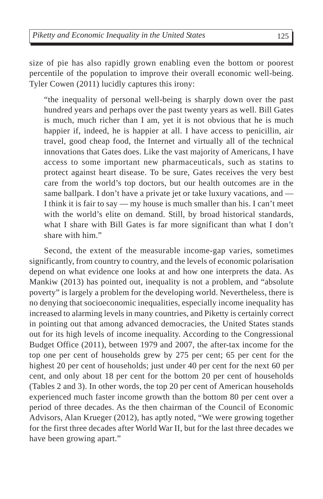size of pie has also rapidly grown enabling even the bottom or poorest percentile of the population to improve their overall economic well-being. Tyler Cowen (2011) lucidly captures this irony:

"the inequality of personal well-being is sharply down over the past hundred years and perhaps over the past twenty years as well. Bill Gates is much, much richer than I am, yet it is not obvious that he is much happier if, indeed, he is happier at all. I have access to penicillin, air travel, good cheap food, the Internet and virtually all of the technical innovations that Gates does. Like the vast majority of Americans, I have access to some important new pharmaceuticals, such as statins to protect against heart disease. To be sure, Gates receives the very best care from the world's top doctors, but our health outcomes are in the same ballpark. I don't have a private jet or take luxury vacations, and — I think it is fair to say — my house is much smaller than his. I can't meet with the world's elite on demand. Still, by broad historical standards, what I share with Bill Gates is far more significant than what I don't share with him."

Second, the extent of the measurable income-gap varies, sometimes significantly, from country to country, and the levels of economic polarisation depend on what evidence one looks at and how one interprets the data. As Mankiw (2013) has pointed out, inequality is not a problem, and "absolute poverty" is largely a problem for the developing world. Nevertheless, there is no denying that socioeconomic inequalities, especially income inequality has increased to alarming levels in many countries, and Piketty is certainly correct in pointing out that among advanced democracies, the United States stands out for its high levels of income inequality. According to the Congressional Budget Office (2011), between 1979 and 2007, the after-tax income for the top one per cent of households grew by 275 per cent; 65 per cent for the highest 20 per cent of households; just under 40 per cent for the next 60 per cent, and only about 18 per cent for the bottom 20 per cent of households (Tables 2 and 3). In other words, the top 20 per cent of American households experienced much faster income growth than the bottom 80 per cent over a period of three decades. As the then chairman of the Council of Economic Advisors, Alan Krueger (2012), has aptly noted, "We were growing together for the first three decades after World War II, but for the last three decades we have been growing apart."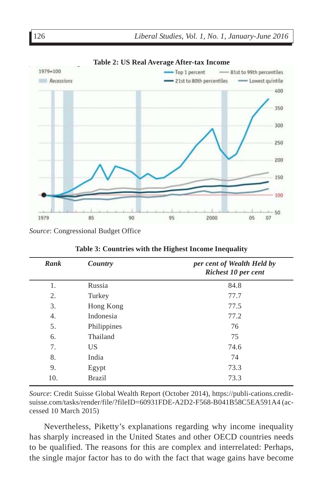

**Table 2: US Real Average After-tax Income**

*Source*: Congressional Budget Office

| Rank | Country       | per cent of Wealth Held by<br><b>Richest 10 per cent</b> |
|------|---------------|----------------------------------------------------------|
| 1.   | Russia        | 84.8                                                     |
| 2.   | Turkey        | 77.7                                                     |
| 3.   | Hong Kong     | 77.5                                                     |
| 4.   | Indonesia     | 77.2                                                     |
| 5.   | Philippines   | 76                                                       |
| 6.   | Thailand      | 75                                                       |
| 7.   | US.           | 74.6                                                     |
| 8.   | India         | 74                                                       |
| 9.   | Egypt         | 73.3                                                     |
| 10.  | <b>Brazil</b> | 73.3                                                     |

**Table 3: Countries with the Highest Income Inequality**

*Source*: Credit Suisse Global Wealth Report (October 2014), https://publi-cations.creditsuisse.com/tasks/render/file/?fileID=60931FDE-A2D2-F568-B041B58C5EA591A4 (accessed 10 March 2015)

Nevertheless, Piketty's explanations regarding why income inequality has sharply increased in the United States and other OECD countries needs to be qualified. The reasons for this are complex and interrelated: Perhaps, the single major factor has to do with the fact that wage gains have become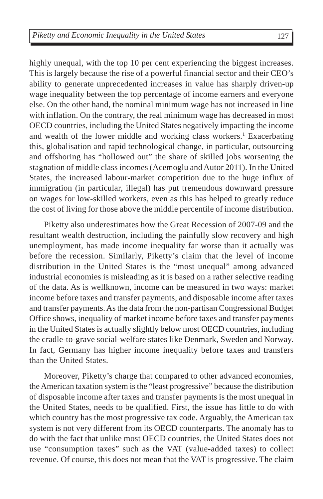highly unequal, with the top 10 per cent experiencing the biggest increases. This is largely because the rise of a powerful financial sector and their CEO's ability to generate unprecedented increases in value has sharply driven-up wage inequality between the top percentage of income earners and everyone else. On the other hand, the nominal minimum wage has not increased in line with inflation. On the contrary, the real minimum wage has decreased in most OECD countries, including the United States negatively impacting the income and wealth of the lower middle and working class workers.<sup>1</sup> Exacerbating this, globalisation and rapid technological change, in particular, outsourcing and offshoring has "hollowed out" the share of skilled jobs worsening the stagnation of middle class incomes (Acemoglu and Autor 2011). In the United States, the increased labour-market competition due to the huge influx of immigration (in particular, illegal) has put tremendous downward pressure on wages for low-skilled workers, even as this has helped to greatly reduce the cost of living for those above the middle percentile of income distribution.

Piketty also underestimates how the Great Recession of 2007-09 and the resultant wealth destruction, including the painfully slow recovery and high unemployment, has made income inequality far worse than it actually was before the recession. Similarly, Piketty's claim that the level of income distribution in the United States is the "most unequal" among advanced industrial economies is misleading as it is based on a rather selective reading of the data. As is wellknown, income can be measured in two ways: market income before taxes and transfer payments, and disposable income after taxes and transfer payments. As the data from the non-partisan Congressional Budget Office shows, inequality of market income before taxes and transfer payments in the United States is actually slightly below most OECD countries, including the cradle-to-grave social-welfare states like Denmark, Sweden and Norway. In fact, Germany has higher income inequality before taxes and transfers than the United States.

Moreover, Piketty's charge that compared to other advanced economies, the American taxation system is the "least progressive" because the distribution of disposable income after taxes and transfer payments is the most unequal in the United States, needs to be qualified. First, the issue has little to do with which country has the most progressive tax code. Arguably, the American tax system is not very different from its OECD counterparts. The anomaly has to do with the fact that unlike most OECD countries, the United States does not use "consumption taxes" such as the VAT (value-added taxes) to collect revenue. Of course, this does not mean that the VAT is progressive. The claim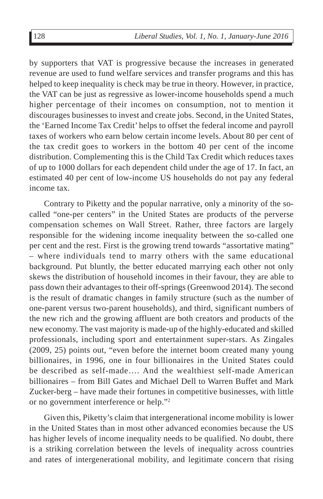by supporters that VAT is progressive because the increases in generated revenue are used to fund welfare services and transfer programs and this has helped to keep inequality is check may be true in theory. However, in practice, the VAT can be just as regressive as lower-income households spend a much higher percentage of their incomes on consumption, not to mention it discourages businesses to invest and create jobs. Second, in the United States, the 'Earned Income Tax Credit' helps to offset the federal income and payroll taxes of workers who earn below certain income levels. About 80 per cent of the tax credit goes to workers in the bottom 40 per cent of the income distribution. Complementing this is the Child Tax Credit which reduces taxes of up to 1000 dollars for each dependent child under the age of 17. In fact, an estimated 40 per cent of low-income US households do not pay any federal income tax.

Contrary to Piketty and the popular narrative, only a minority of the socalled "one-per centers" in the United States are products of the perverse compensation schemes on Wall Street. Rather, three factors are largely responsible for the widening income inequality between the so-called one per cent and the rest. First is the growing trend towards "assortative mating" – where individuals tend to marry others with the same educational background. Put bluntly, the better educated marrying each other not only skews the distribution of household incomes in their favour, they are able to pass down their advantages to their off-springs (Greenwood 2014). The second is the result of dramatic changes in family structure (such as the number of one-parent versus two-parent households), and third, significant numbers of the new rich and the growing affluent are both creators and products of the new economy. The vast majority is made-up of the highly-educated and skilled professionals, including sport and entertainment super-stars. As Zingales (2009, 25) points out, "even before the internet boom created many young billionaires, in 1996, one in four billionaires in the United States could be described as self-made…. And the wealthiest self-made American billionaires – from Bill Gates and Michael Dell to Warren Buffet and Mark Zucker-berg – have made their fortunes in competitive businesses, with little or no government interference or help."2

Given this, Piketty's claim that intergenerational income mobility is lower in the United States than in most other advanced economies because the US has higher levels of income inequality needs to be qualified. No doubt, there is a striking correlation between the levels of inequality across countries and rates of intergenerational mobility, and legitimate concern that rising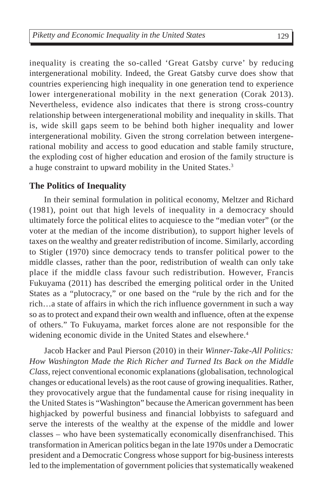inequality is creating the so-called 'Great Gatsby curve' by reducing intergenerational mobility. Indeed, the Great Gatsby curve does show that countries experiencing high inequality in one generation tend to experience lower intergenerational mobility in the next generation (Corak 2013). Nevertheless, evidence also indicates that there is strong cross-country relationship between intergenerational mobility and inequality in skills. That is, wide skill gaps seem to be behind both higher inequality and lower intergenerational mobility. Given the strong correlation between intergenerational mobility and access to good education and stable family structure, the exploding cost of higher education and erosion of the family structure is a huge constraint to upward mobility in the United States.<sup>3</sup>

#### **The Politics of Inequality**

In their seminal formulation in political economy, Meltzer and Richard (1981), point out that high levels of inequality in a democracy should ultimately force the political elites to acquiesce to the "median voter" (or the voter at the median of the income distribution), to support higher levels of taxes on the wealthy and greater redistribution of income. Similarly, according to Stigler (1970) since democracy tends to transfer political power to the middle classes, rather than the poor, redistribution of wealth can only take place if the middle class favour such redistribution. However, Francis Fukuyama (2011) has described the emerging political order in the United States as a "plutocracy," or one based on the "rule by the rich and for the rich…a state of affairs in which the rich influence government in such a way so as to protect and expand their own wealth and influence, often at the expense of others." To Fukuyama, market forces alone are not responsible for the widening economic divide in the United States and elsewhere.<sup>4</sup>

Jacob Hacker and Paul Pierson (2010) in their *Winner-Take-All Politics: How Washington Made the Rich Richer and Turned Its Back on the Middle Class*, reject conventional economic explanations (globalisation, technological changes or educational levels) as the root cause of growing inequalities. Rather, they provocatively argue that the fundamental cause for rising inequality in the United States is "Washington" because the American government has been highjacked by powerful business and financial lobbyists to safeguard and serve the interests of the wealthy at the expense of the middle and lower classes – who have been systematically economically disenfranchised. This transformation in American politics began in the late 1970s under a Democratic president and a Democratic Congress whose support for big-business interests led to the implementation of government policies that systematically weakened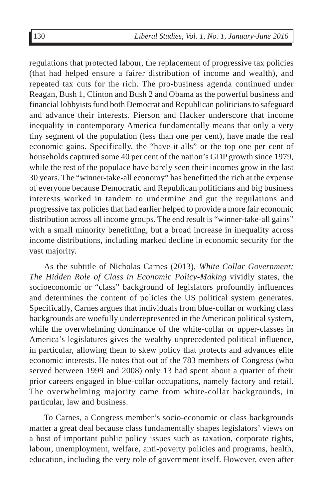regulations that protected labour, the replacement of progressive tax policies (that had helped ensure a fairer distribution of income and wealth), and repeated tax cuts for the rich. The pro-business agenda continued under Reagan, Bush 1, Clinton and Bush 2 and Obama as the powerful business and financial lobbyists fund both Democrat and Republican politicians to safeguard and advance their interests. Pierson and Hacker underscore that income inequality in contemporary America fundamentally means that only a very tiny segment of the population (less than one per cent), have made the real economic gains. Specifically, the "have-it-alls" or the top one per cent of households captured some 40 per cent of the nation's GDP growth since 1979, while the rest of the populace have barely seen their incomes grow in the last 30 years. The "winner-take-all economy" has benefitted the rich at the expense of everyone because Democratic and Republican politicians and big business interests worked in tandem to undermine and gut the regulations and progressive tax policies that had earlier helped to provide a more fair economic distribution across all income groups. The end result is "winner-take-all gains" with a small minority benefitting, but a broad increase in inequality across income distributions, including marked decline in economic security for the vast majority.

As the subtitle of Nicholas Carnes (2013), *White Collar Government: The Hidden Role of Class in Economic Policy-Making* vividly states, the socioeconomic or "class" background of legislators profoundly influences and determines the content of policies the US political system generates. Specifically, Carnes argues that individuals from blue-collar or working class backgrounds are woefully underrepresented in the American political system, while the overwhelming dominance of the white-collar or upper-classes in America's legislatures gives the wealthy unprecedented political influence, in particular, allowing them to skew policy that protects and advances elite economic interests. He notes that out of the 783 members of Congress (who served between 1999 and 2008) only 13 had spent about a quarter of their prior careers engaged in blue-collar occupations, namely factory and retail. The overwhelming majority came from white-collar backgrounds, in particular, law and business.

To Carnes, a Congress member's socio-economic or class backgrounds matter a great deal because class fundamentally shapes legislators' views on a host of important public policy issues such as taxation, corporate rights, labour, unemployment, welfare, anti-poverty policies and programs, health, education, including the very role of government itself. However, even after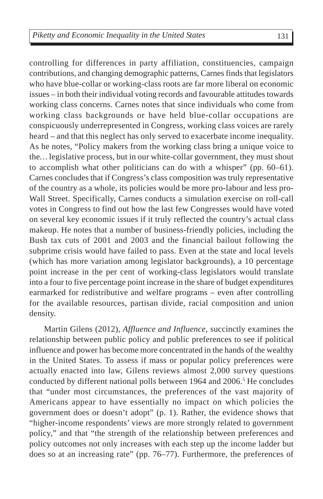controlling for differences in party affiliation, constituencies, campaign contributions, and changing demographic patterns, Carnes finds that legislators who have blue-collar or working-class roots are far more liberal on economic issues – in both their individual voting records and favourable attitudes towards working class concerns. Carnes notes that since individuals who come from working class backgrounds or have held blue-collar occupations are conspicuously underrepresented in Congress, working class voices are rarely heard – and that this neglect has only served to exacerbate income inequality. As he notes, "Policy makers from the working class bring a unique voice to the*…* legislative process, but in our white-collar government, they must shout to accomplish what other politicians can do with a whisper" (pp. 60–61). Carnes concludes that if Congress's class composition was truly representative of the country as a whole, its policies would be more pro-labour and less pro-Wall Street. Specifically, Carnes conducts a simulation exercise on roll-call votes in Congress to find out how the last few Congresses would have voted on several key economic issues if it truly reflected the country's actual class makeup. He notes that a number of business-friendly policies, including the Bush tax cuts of 2001 and 2003 and the financial bailout following the subprime crisis would have failed to pass. Even at the state and local levels (which has more variation among legislator backgrounds), a 10 percentage point increase in the per cent of working-class legislators would translate into a four to five percentage point increase in the share of budget expenditures earmarked for redistributive and welfare programs – even after controlling for the available resources, partisan divide, racial composition and union density.

Martin Gilens (2012), *Affluence and Influence,* succinctly examines the relationship between public policy and public preferences to see if political influence and power has become more concentrated in the hands of the wealthy in the United States. To assess if mass or popular policy preferences were actually enacted into law, Gilens reviews almost 2,000 survey questions conducted by different national polls between 1964 and 2006.<sup>5</sup> He concludes that "under most circumstances, the preferences of the vast majority of Americans appear to have essentially no impact on which policies the government does or doesn't adopt" (p. 1). Rather, the evidence shows that "higher-income respondents' views are more strongly related to government policy," and that "the strength of the relationship between preferences and policy outcomes not only increases with each step up the income ladder but does so at an increasing rate" (pp. 76–77). Furthermore, the preferences of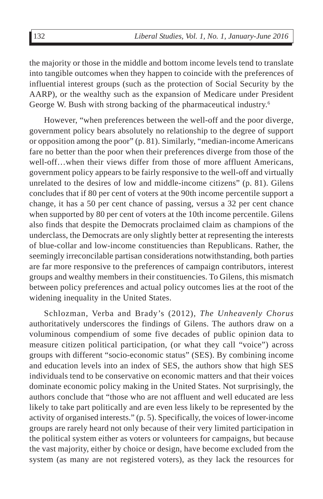the majority or those in the middle and bottom income levels tend to translate into tangible outcomes when they happen to coincide with the preferences of influential interest groups (such as the protection of Social Security by the AARP), or the wealthy such as the expansion of Medicare under President George W. Bush with strong backing of the pharmaceutical industry.6

However, "when preferences between the well-off and the poor diverge, government policy bears absolutely no relationship to the degree of support or opposition among the poor" (p. 81). Similarly, "median-income Americans fare no better than the poor when their preferences diverge from those of the well-off…when their views differ from those of more affluent Americans, government policy appears to be fairly responsive to the well-off and virtually unrelated to the desires of low and middle-income citizens" (p. 81). Gilens concludes that if 80 per cent of voters at the 90th income percentile support a change, it has a 50 per cent chance of passing, versus a 32 per cent chance when supported by 80 per cent of voters at the 10th income percentile. Gilens also finds that despite the Democrats proclaimed claim as champions of the underclass, the Democrats are only slightly better at representing the interests of blue-collar and low-income constituencies than Republicans. Rather, the seemingly irreconcilable partisan considerations notwithstanding, both parties are far more responsive to the preferences of campaign contributors, interest groups and wealthy members in their constituencies. To Gilens, this mismatch between policy preferences and actual policy outcomes lies at the root of the widening inequality in the United States.

Schlozman, Verba and Brady's (2012), *The Unheavenly Chorus* authoritatively underscores the findings of Gilens. The authors draw on a voluminous compendium of some five decades of public opinion data to measure citizen political participation, (or what they call "voice") across groups with different "socio-economic status" (SES). By combining income and education levels into an index of SES, the authors show that high SES individuals tend to be conservative on economic matters and that their voices dominate economic policy making in the United States. Not surprisingly, the authors conclude that "those who are not affluent and well educated are less likely to take part politically and are even less likely to be represented by the activity of organised interests." (p. 5). Specifically, the voices of lower-income groups are rarely heard not only because of their very limited participation in the political system either as voters or volunteers for campaigns, but because the vast majority, either by choice or design, have become excluded from the system (as many are not registered voters), as they lack the resources for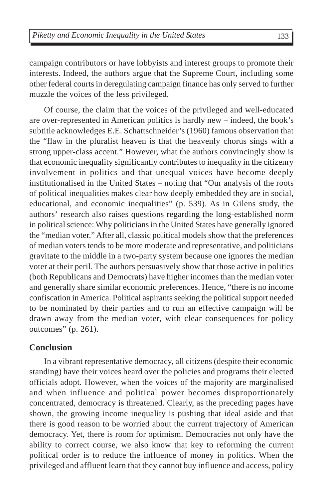campaign contributors or have lobbyists and interest groups to promote their interests. Indeed, the authors argue that the Supreme Court, including some other federal courts in deregulating campaign finance has only served to further muzzle the voices of the less privileged.

Of course, the claim that the voices of the privileged and well-educated are over-represented in American politics is hardly new – indeed, the book's subtitle acknowledges E.E. Schattschneider's (1960) famous observation that the "flaw in the pluralist heaven is that the heavenly chorus sings with a strong upper-class accent." However, what the authors convincingly show is that economic inequality significantly contributes to inequality in the citizenry involvement in politics and that unequal voices have become deeply institutionalised in the United States – noting that "Our analysis of the roots of political inequalities makes clear how deeply embedded they are in social, educational, and economic inequalities" (p. 539). As in Gilens study, the authors' research also raises questions regarding the long-established norm in political science: Why politicians in the United States have generally ignored the "median voter." After all, classic political models show that the preferences of median voters tends to be more moderate and representative, and politicians gravitate to the middle in a two-party system because one ignores the median voter at their peril. The authors persuasively show that those active in politics (both Republicans and Democrats) have higher incomes than the median voter and generally share similar economic preferences. Hence, "there is no income confiscation in America. Political aspirants seeking the political support needed to be nominated by their parties and to run an effective campaign will be drawn away from the median voter, with clear consequences for policy outcomes" (p. 261).

#### **Conclusion**

In a vibrant representative democracy, all citizens (despite their economic standing) have their voices heard over the policies and programs their elected officials adopt. However, when the voices of the majority are marginalised and when influence and political power becomes disproportionately concentrated, democracy is threatened. Clearly, as the preceding pages have shown, the growing income inequality is pushing that ideal aside and that there is good reason to be worried about the current trajectory of American democracy. Yet, there is room for optimism. Democracies not only have the ability to correct course, we also know that key to reforming the current political order is to reduce the influence of money in politics. When the privileged and affluent learn that they cannot buy influence and access, policy